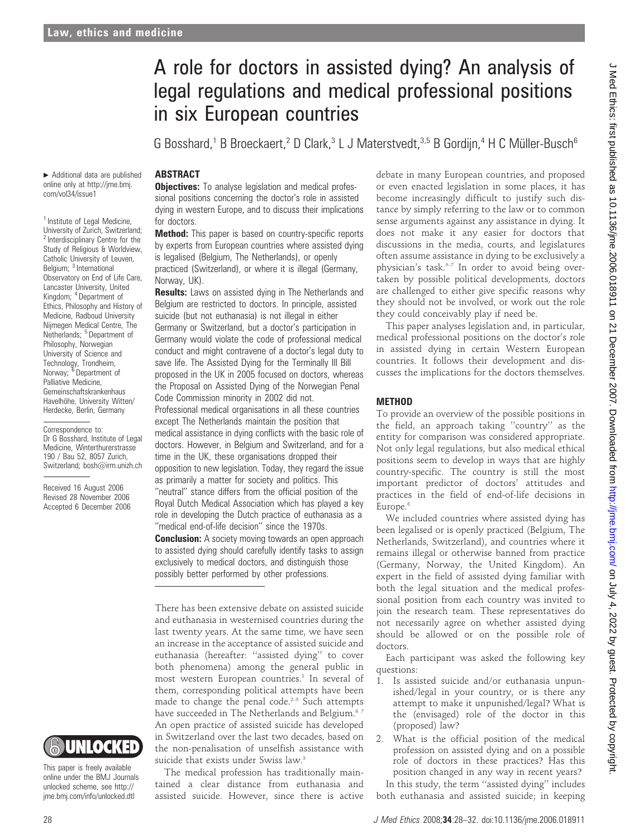# A role for doctors in assisted dying? An analysis of legal regulations and medical professional positions in six European countries

G Bosshard,<sup>1</sup> B Broeckaert,<sup>2</sup> D Clark,<sup>3</sup> L J Materstvedt,<sup>3,5</sup> B Gordiin,<sup>4</sup> H C Müller-Busch<sup>6</sup>

## **ABSTRACT**

**Objectives:** To analyse legislation and medical professional positions concerning the doctor's role in assisted dying in western Europe, and to discuss their implications for doctors.

**Method:** This paper is based on country-specific reports by experts from European countries where assisted dying is legalised (Belgium, The Netherlands), or openly practiced (Switzerland), or where it is illegal (Germany, Norway, UK).

**Results:** Laws on assisted dying in The Netherlands and Belgium are restricted to doctors. In principle, assisted suicide (but not euthanasia) is not illegal in either Germany or Switzerland, but a doctor's participation in Germany would violate the code of professional medical conduct and might contravene of a doctor's legal duty to save life. The Assisted Dying for the Terminally Ill Bill proposed in the UK in 2005 focused on doctors, whereas the Proposal on Assisted Dying of the Norwegian Penal Code Commission minority in 2002 did not. Professional medical organisations in all these countries except The Netherlands maintain the position that medical assistance in dying conflicts with the basic role of

doctors. However, in Belgium and Switzerland, and for a time in the UK, these organisations dropped their opposition to new legislation. Today, they regard the issue as primarily a matter for society and politics. This ''neutral'' stance differs from the official position of the Royal Dutch Medical Association which has played a key role in developing the Dutch practice of euthanasia as a ''medical end-of-life decision'' since the 1970s.

**Conclusion:** A society moving towards an open approach to assisted dying should carefully identify tasks to assign exclusively to medical doctors, and distinguish those possibly better performed by other professions.

There has been extensive debate on assisted suicide and euthanasia in westernised countries during the last twenty years. At the same time, we have seen an increase in the acceptance of assisted suicide and euthanasia (hereafter: ''assisted dying'' to cover both phenomena) among the general public in most western European countries.<sup>1</sup> In several of them, corresponding political attempts have been made to change the penal code.<sup>2-5</sup> Such attempts have succeeded in The Netherlands and Belgium.<sup>67</sup> An open practice of assisted suicide has developed in Switzerland over the last two decades, based on the non-penalisation of unselfish assistance with suicide that exists under Swiss law.<sup>3</sup>

The medical profession has traditionally maintained a clear distance from euthanasia and assisted suicide. However, since there is active debate in many European countries, and proposed or even enacted legislation in some places, it has become increasingly difficult to justify such distance by simply referring to the law or to common sense arguments against any assistance in dying. It does not make it any easier for doctors that discussions in the media, courts, and legislatures often assume assistance in dying to be exclusively a physician's task.5–7 In order to avoid being overtaken by possible political developments, doctors are challenged to either give specific reasons why they should not be involved, or work out the role they could conceivably play if need be.

This paper analyses legislation and, in particular, medical professional positions on the doctor's role in assisted dying in certain Western European countries. It follows their development and discusses the implications for the doctors themselves.

#### METHOD

To provide an overview of the possible positions in the field, an approach taking ''country'' as the entity for comparison was considered appropriate. Not only legal regulations, but also medical ethical positions seem to develop in ways that are highly country-specific. The country is still the most important predictor of doctors' attitudes and practices in the field of end-of-life decisions in Europe.<sup>8</sup>

We included countries where assisted dying has been legalised or is openly practiced (Belgium, The Netherlands, Switzerland), and countries where it remains illegal or otherwise banned from practice (Germany, Norway, the United Kingdom). An expert in the field of assisted dying familiar with both the legal situation and the medical professional position from each country was invited to join the research team. These representatives do not necessarily agree on whether assisted dying should be allowed or on the possible role of doctors.

Each participant was asked the following key questions:

- 1. Is assisted suicide and/or euthanasia unpunished/legal in your country, or is there any attempt to make it unpunished/legal? What is the (envisaged) role of the doctor in this (proposed) law?
- 2. What is the official position of the medical profession on assisted dying and on a possible role of doctors in these practices? Has this position changed in any way in recent years?

In this study, the term ''assisted dying'' includes both euthanasia and assisted suicide; in keeping

### $\blacktriangleright$  Additional data are published online only at http://jme.bmj. com/vol34/issue1

<sup>1</sup> Institute of Legal Medicine, University of Zurich, Switzerland; <sup>2</sup> Interdisciplinary Centre for the Study of Religious & Worldview, Catholic University of Leuven, Belgium; <sup>3</sup> International Observatory on End of Life Care, Lancaster University, United Kingdom; <sup>4</sup> Department of Ethics, Philosophy and History of Medicine, Radboud University Nijmegen Medical Centre, The Netherlands; <sup>5</sup> Department of Philosophy, Norwegian University of Science and Technology, Trondheim,<br>Norway; <sup>6</sup> Department of Palliative Medicine, Gemeinschaftskrankenhaus Havelhöhe, University Witten/ Herdecke, Berlin, Germany

Correspondence to: Dr G Bosshard, Institute of Legal Medicine, Winterthurerstrasse 190 / Bau 52, 8057 Zurich, Switzerland; bosh@irm.unizh.ch

Received 16 August 2006 Revised 28 November 2006 Accepted 6 December 2006



This paper is freely available online under the BMJ Journals unlocked scheme, see http:// jme.bmj.com/info/unlocked.dtl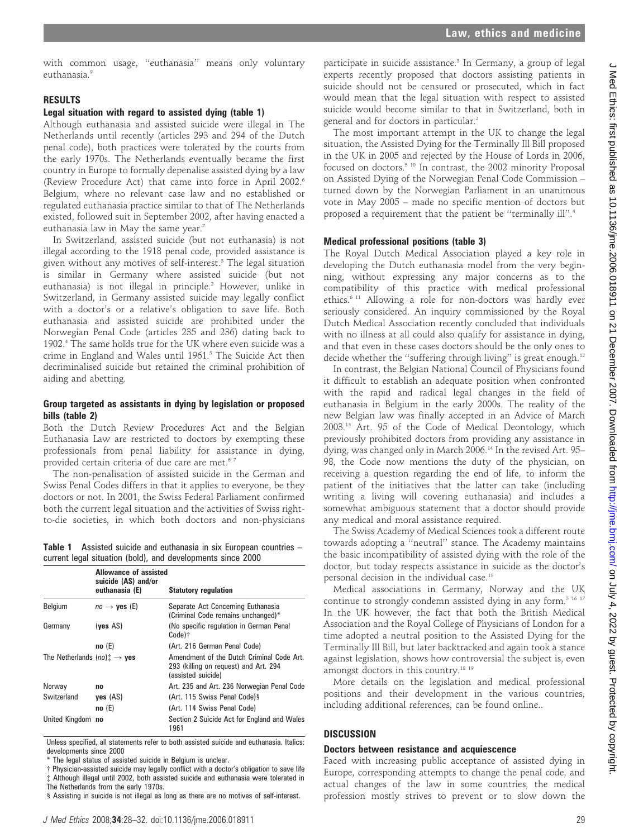with common usage, ''euthanasia'' means only voluntary euthanasia.<sup>9</sup>

## RESULTS

## Legal situation with regard to assisted dying (table 1)

Although euthanasia and assisted suicide were illegal in The Netherlands until recently (articles 293 and 294 of the Dutch penal code), both practices were tolerated by the courts from the early 1970s. The Netherlands eventually became the first country in Europe to formally depenalise assisted dying by a law (Review Procedure Act) that came into force in April 2002.<sup>6</sup> Belgium, where no relevant case law and no established or regulated euthanasia practice similar to that of The Netherlands existed, followed suit in September 2002, after having enacted a euthanasia law in May the same year.<sup>7</sup>

In Switzerland, assisted suicide (but not euthanasia) is not illegal according to the 1918 penal code, provided assistance is given without any motives of self-interest.<sup>3</sup> The legal situation is similar in Germany where assisted suicide (but not euthanasia) is not illegal in principle.<sup>2</sup> However, unlike in Switzerland, in Germany assisted suicide may legally conflict with a doctor's or a relative's obligation to save life. Both euthanasia and assisted suicide are prohibited under the Norwegian Penal Code (articles 235 and 236) dating back to 1902.4 The same holds true for the UK where even suicide was a crime in England and Wales until 1961.<sup>5</sup> The Suicide Act then decriminalised suicide but retained the criminal prohibition of aiding and abetting.

## Group targeted as assistants in dying by legislation or proposed bills (table 2)

Both the Dutch Review Procedures Act and the Belgian Euthanasia Law are restricted to doctors by exempting these professionals from penal liability for assistance in dying, provided certain criteria of due care are met.<sup>67</sup>

The non-penalisation of assisted suicide in the German and Swiss Penal Codes differs in that it applies to everyone, be they doctors or not. In 2001, the Swiss Federal Parliament confirmed both the current legal situation and the activities of Swiss rightto-die societies, in which both doctors and non-physicians

Table 1 Assisted suicide and euthanasia in six European countries – current legal situation (bold), and developments since 2000

|                                            | Allowance of assisted<br>suicide (AS) and/or |                                                                                                          |
|--------------------------------------------|----------------------------------------------|----------------------------------------------------------------------------------------------------------|
|                                            | euthanasia (E)                               | <b>Statutory regulation</b>                                                                              |
| Belgium                                    | $no \rightarrow$ yes (E)                     | Separate Act Concerning Euthanasia<br>(Criminal Code remains unchanged)*                                 |
| Germany                                    | ( <b>ves</b> AS)                             | (No specific regulation in German Penal<br>Code)†                                                        |
|                                            | no(E)                                        | (Art. 216 German Penal Code)                                                                             |
| The Netherlands $(no)$ : $\rightarrow$ yes |                                              | Amendment of the Dutch Criminal Code Art.<br>293 (killing on request) and Art. 294<br>(assisted suicide) |
| Norway                                     | no                                           | Art. 235 and Art. 236 Norwegian Penal Code                                                               |
| Switzerland                                | ves (AS)                                     | (Art. 115 Swiss Penal Code) §                                                                            |
|                                            | no(E)                                        | (Art. 114 Swiss Penal Code)                                                                              |
| United Kingdom no                          |                                              | Section 2 Suicide Act for England and Wales<br>1961                                                      |

Unless specified, all statements refer to both assisted suicide and euthanasia. Italics: developments since 2000

The legal status of assisted suicide in Belgium is unclear.

{ Physician-assisted suicide may legally conflict with a doctor's obligation to save life Although illegal until 2002, both assisted suicide and euthanasia were tolerated in The Netherlands from the early 1970s.

§ Assisting in suicide is not illegal as long as there are no motives of self-interest.

J Med Ethics 2008;34:28–32. doi:10.1136/jme.2006.018911 29

participate in suicide assistance.<sup>3</sup> In Germany, a group of legal experts recently proposed that doctors assisting patients in suicide should not be censured or prosecuted, which in fact would mean that the legal situation with respect to assisted suicide would become similar to that in Switzerland, both in general and for doctors in particular.<sup>2</sup>

The most important attempt in the UK to change the legal situation, the Assisted Dying for the Terminally Ill Bill proposed in the UK in 2005 and rejected by the House of Lords in 2006, focused on doctors.<sup>5 10</sup> In contrast, the 2002 minority Proposal on Assisted Dying of the Norwegian Penal Code Commission – turned down by the Norwegian Parliament in an unanimous vote in May 2005 – made no specific mention of doctors but proposed a requirement that the patient be ''terminally ill''.4

## Medical professional positions (table 3)

The Royal Dutch Medical Association played a key role in developing the Dutch euthanasia model from the very beginning, without expressing any major concerns as to the compatibility of this practice with medical professional ethics.6 11 Allowing a role for non-doctors was hardly ever seriously considered. An inquiry commissioned by the Royal Dutch Medical Association recently concluded that individuals with no illness at all could also qualify for assistance in dying, and that even in these cases doctors should be the only ones to decide whether the "suffering through living" is great enough.<sup>12</sup>

In contrast, the Belgian National Council of Physicians found it difficult to establish an adequate position when confronted with the rapid and radical legal changes in the field of euthanasia in Belgium in the early 2000s. The reality of the new Belgian law was finally accepted in an Advice of March 2003.13 Art. 95 of the Code of Medical Deontology, which previously prohibited doctors from providing any assistance in dying, was changed only in March 2006.14 In the revised Art. 95– 98, the Code now mentions the duty of the physician, on receiving a question regarding the end of life, to inform the patient of the initiatives that the latter can take (including writing a living will covering euthanasia) and includes a somewhat ambiguous statement that a doctor should provide any medical and moral assistance required.

The Swiss Academy of Medical Sciences took a different route towards adopting a ''neutral'' stance. The Academy maintains the basic incompatibility of assisted dying with the role of the doctor, but today respects assistance in suicide as the doctor's personal decision in the individual case.15

Medical associations in Germany, Norway and the UK continue to strongly condemn assisted dying in any form.<sup>5 16 17</sup> In the UK however, the fact that both the British Medical Association and the Royal College of Physicians of London for a time adopted a neutral position to the Assisted Dying for the Terminally Ill Bill, but later backtracked and again took a stance against legislation, shows how controversial the subject is, even amongst doctors in this country.<sup>18 19</sup>

More details on the legislation and medical professional positions and their development in the various countries, including additional references, can be found online..

## **DISCUSSION**

## Doctors between resistance and acquiescence

Faced with increasing public acceptance of assisted dying in Europe, corresponding attempts to change the penal code, and actual changes of the law in some countries, the medical profession mostly strives to prevent or to slow down the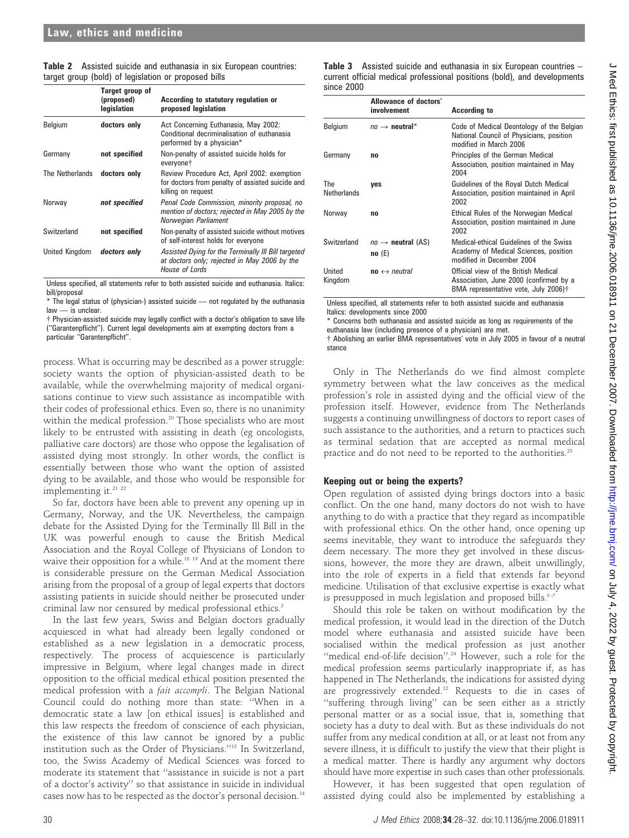|  |                                                      |  |  |  | <b>Table 2</b> Assisted suicide and euthanasia in six European countries: |
|--|------------------------------------------------------|--|--|--|---------------------------------------------------------------------------|
|  | target group (bold) of legislation or proposed bills |  |  |  |                                                                           |

|                 | Target group of<br>(proposed)<br>legislation | According to statutory regulation or<br>proposed legislation                                                            |
|-----------------|----------------------------------------------|-------------------------------------------------------------------------------------------------------------------------|
| Belgium         | doctors only                                 | Act Concerning Euthanasia, May 2002:<br>Conditional decriminalisation of euthanasia<br>performed by a physician*        |
| Germany         | not specified                                | Non-penalty of assisted suicide holds for<br>everyone†                                                                  |
| The Netherlands | doctors only                                 | Review Procedure Act, April 2002: exemption<br>for doctors from penalty of assisted suicide and<br>killing on request   |
| Norway          | not specified                                | Penal Code Commission, minority proposal, no<br>mention of doctors; rejected in May 2005 by the<br>Norwegian Parliament |
| Switzerland     | not specified                                | Non-penalty of assisted suicide without motives<br>of self-interest holds for everyone                                  |
| United Kingdom  | doctors only                                 | Assisted Dying for the Terminally III Bill targeted<br>at doctors only; rejected in May 2006 by the<br>House of Lords   |

Unless specified, all statements refer to both assisted suicide and euthanasia. Italics: bill/proposal

\* The legal status of (physician-) assisted suicide — not regulated by the euthanasia law — is unclear.

{ Physician-assisted suicide may legally conflict with a doctor's obligation to save life (''Garantenpflicht''). Current legal developments aim at exempting doctors from a particular ''Garantenpflicht''.

process. What is occurring may be described as a power struggle: society wants the option of physician-assisted death to be available, while the overwhelming majority of medical organisations continue to view such assistance as incompatible with their codes of professional ethics. Even so, there is no unanimity within the medical profession.<sup>20</sup> Those specialists who are most likely to be entrusted with assisting in death (eg oncologists, palliative care doctors) are those who oppose the legalisation of assisted dying most strongly. In other words, the conflict is essentially between those who want the option of assisted dying to be available, and those who would be responsible for implementing it. $^{21}$   $^{22}$ 

So far, doctors have been able to prevent any opening up in Germany, Norway, and the UK. Nevertheless, the campaign debate for the Assisted Dying for the Terminally Ill Bill in the UK was powerful enough to cause the British Medical Association and the Royal College of Physicians of London to waive their opposition for a while.<sup>18 19</sup> And at the moment there is considerable pressure on the German Medical Association arising from the proposal of a group of legal experts that doctors assisting patients in suicide should neither be prosecuted under criminal law nor censured by medical professional ethics.2

In the last few years, Swiss and Belgian doctors gradually acquiesced in what had already been legally condoned or established as a new legislation in a democratic process, respectively. The process of acquiescence is particularly impressive in Belgium, where legal changes made in direct opposition to the official medical ethical position presented the medical profession with a fait accompli. The Belgian National Council could do nothing more than state: ''When in a democratic state a law [on ethical issues] is established and this law respects the freedom of conscience of each physician, the existence of this law cannot be ignored by a public institution such as the Order of Physicians.''13 In Switzerland, too, the Swiss Academy of Medical Sciences was forced to moderate its statement that ''assistance in suicide is not a part of a doctor's activity'' so that assistance in suicide in individual cases now has to be respected as the doctor's personal decision.14

Table 3 Assisted suicide and euthanasia in six European countries current official medical professional positions (bold), and developments since 2000

|                                  | Allowance of doctors'<br>involvement   | <b>According to</b>                                                                                                    |
|----------------------------------|----------------------------------------|------------------------------------------------------------------------------------------------------------------------|
| Belgium                          | $no \rightarrow$ neutral*              | Code of Medical Deontology of the Belgian<br>National Council of Physicians, position<br>modified in March 2006        |
| Germany                          | no                                     | Principles of the German Medical<br>Association, position maintained in May<br>2004                                    |
| <b>The</b><br><b>Netherlands</b> | ves                                    | Guidelines of the Royal Dutch Medical<br>Association, position maintained in April<br>2002                             |
| Norway                           | no                                     | Ethical Rules of the Norwegian Medical<br>Association, position maintained in June<br>2002                             |
| Switzerland                      | $no \rightarrow$ neutral (AS)<br>no(E) | Medical-ethical Guidelines of the Swiss<br>Academy of Medical Sciences, position<br>modified in December 2004          |
| United<br>Kingdom                | $no \leftrightarrow neutral$           | Official view of the British Medical<br>Association, June 2000 (confirmed by a<br>BMA representative vote, July 2006)† |

Unless specified, all statements refer to both assisted suicide and euthanasia Italics: developments since 2000

\* Concerns both euthanasia and assisted suicide as long as requirements of the

euthanasia law (including presence of a physician) are met.

{ Abolishing an earlier BMA representatives' vote in July 2005 in favour of a neutral stance

Only in The Netherlands do we find almost complete symmetry between what the law conceives as the medical profession's role in assisted dying and the official view of the profession itself. However, evidence from The Netherlands suggests a continuing unwillingness of doctors to report cases of such assistance to the authorities, and a return to practices such as terminal sedation that are accepted as normal medical practice and do not need to be reported to the authorities.<sup>23</sup>

#### Keeping out or being the experts?

Open regulation of assisted dying brings doctors into a basic conflict. On the one hand, many doctors do not wish to have anything to do with a practice that they regard as incompatible with professional ethics. On the other hand, once opening up seems inevitable, they want to introduce the safeguards they deem necessary. The more they get involved in these discussions, however, the more they are drawn, albeit unwillingly, into the role of experts in a field that extends far beyond medicine. Utilisation of that exclusive expertise is exactly what is presupposed in much legislation and proposed bills.<sup>5–7</sup>

Should this role be taken on without modification by the medical profession, it would lead in the direction of the Dutch model where euthanasia and assisted suicide have been socialised within the medical profession as just another "medical end-of-life decision".<sup>24</sup> However, such a role for the medical profession seems particularly inappropriate if, as has happened in The Netherlands, the indications for assisted dying are progressively extended.12 Requests to die in cases of ''suffering through living'' can be seen either as a strictly personal matter or as a social issue, that is, something that society has a duty to deal with. But as these individuals do not suffer from any medical condition at all, or at least not from any severe illness, it is difficult to justify the view that their plight is a medical matter. There is hardly any argument why doctors should have more expertise in such cases than other professionals.

However, it has been suggested that open regulation of assisted dying could also be implemented by establishing a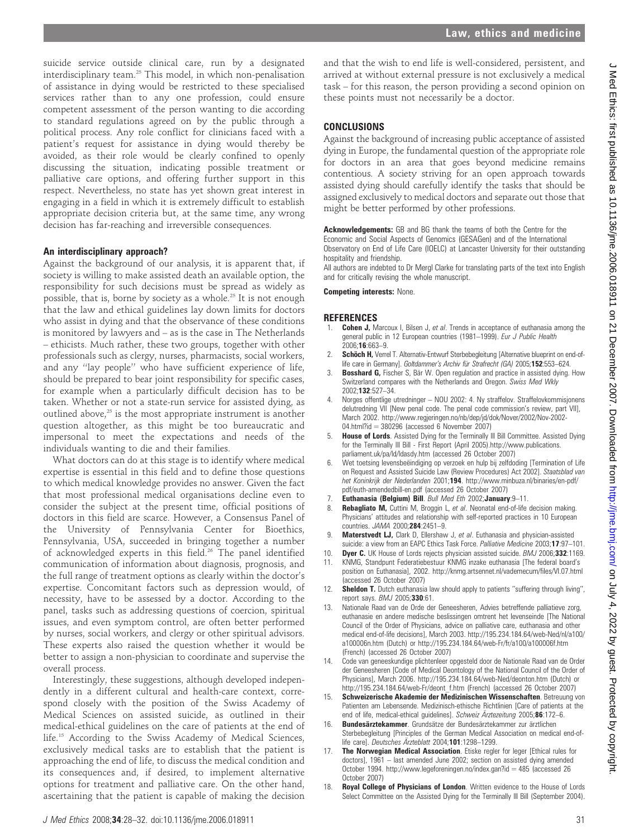J Med Ethics: first published as 10.1136/jme.2006.018911 on 21 December 2007. Downloaded from http://jme.bmj.com/ on July 4, 2022 by guest. Protected by copyright J Med Ethics: first published as 10.1136/jme.2006.018911 on 21 December 2007. Downloaded from Intp://jme.bmj.com/ on July 4, 2022 by guest. Protected by copyright.

suicide service outside clinical care, run by a designated interdisciplinary team.25 This model, in which non-penalisation of assistance in dying would be restricted to these specialised services rather than to any one profession, could ensure competent assessment of the person wanting to die according to standard regulations agreed on by the public through a political process. Any role conflict for clinicians faced with a patient's request for assistance in dying would thereby be avoided, as their role would be clearly confined to openly discussing the situation, indicating possible treatment or palliative care options, and offering further support in this respect. Nevertheless, no state has yet shown great interest in engaging in a field in which it is extremely difficult to establish appropriate decision criteria but, at the same time, any wrong decision has far-reaching and irreversible consequences.

## An interdisciplinary approach?

Against the background of our analysis, it is apparent that, if society is willing to make assisted death an available option, the responsibility for such decisions must be spread as widely as possible, that is, borne by society as a whole.<sup>25</sup> It is not enough that the law and ethical guidelines lay down limits for doctors who assist in dying and that the observance of these conditions is monitored by lawyers and – as is the case in The Netherlands – ethicists. Much rather, these two groups, together with other professionals such as clergy, nurses, pharmacists, social workers, and any ''lay people'' who have sufficient experience of life, should be prepared to bear joint responsibility for specific cases, for example when a particularly difficult decision has to be taken. Whether or not a state-run service for assisted dying, as outlined above, $25$  is the most appropriate instrument is another question altogether, as this might be too bureaucratic and impersonal to meet the expectations and needs of the individuals wanting to die and their families.

What doctors can do at this stage is to identify where medical expertise is essential in this field and to define those questions to which medical knowledge provides no answer. Given the fact that most professional medical organisations decline even to consider the subject at the present time, official positions of doctors in this field are scarce. However, a Consensus Panel of the University of Pennsylvania Center for Bioethics, Pennsylvania, USA, succeeded in bringing together a number of acknowledged experts in this field.<sup>26</sup> The panel identified communication of information about diagnosis, prognosis, and the full range of treatment options as clearly within the doctor's expertise. Concomitant factors such as depression would, of necessity, have to be assessed by a doctor. According to the panel, tasks such as addressing questions of coercion, spiritual issues, and even symptom control, are often better performed by nurses, social workers, and clergy or other spiritual advisors. These experts also raised the question whether it would be better to assign a non-physician to coordinate and supervise the overall process.

Interestingly, these suggestions, although developed independently in a different cultural and health-care context, correspond closely with the position of the Swiss Academy of Medical Sciences on assisted suicide, as outlined in their medical-ethical guidelines on the care of patients at the end of life.15 According to the Swiss Academy of Medical Sciences, exclusively medical tasks are to establish that the patient is approaching the end of life, to discuss the medical condition and its consequences and, if desired, to implement alternative options for treatment and palliative care. On the other hand, ascertaining that the patient is capable of making the decision

and that the wish to end life is well-considered, persistent, and arrived at without external pressure is not exclusively a medical task – for this reason, the person providing a second opinion on these points must not necessarily be a doctor.

#### **CONCLUSIONS**

Against the background of increasing public acceptance of assisted dying in Europe, the fundamental question of the appropriate role for doctors in an area that goes beyond medicine remains contentious. A society striving for an open approach towards assisted dying should carefully identify the tasks that should be assigned exclusively to medical doctors and separate out those that might be better performed by other professions.

Acknowledgements: GB and BG thank the teams of both the Centre for the Economic and Social Aspects of Genomics (GESAGen) and of the International Observatory on End of Life Care (IOELC) at Lancaster University for their outstanding hospitality and friendship.

All authors are indebted to Dr Mergl Clarke for translating parts of the text into English and for critically revising the whole manuscript.

Competing interests: None.

#### **REFERENCES**

- 1. **Cohen J,** Marcoux I, Bilsen J, et al. Trends in acceptance of euthanasia among the general public in 12 European countries (1981-1999). Eur J Public Health 2006;16:663–9.
- 2. Schöch H, Verrel T. Alternativ-Entwurf Sterbebegleitung [Alternative blueprint on end-oflife care in Germany]. Goltdammer's Archiv für Strafrecht (GA) 2005;152:553-624.
- **Bosshard G,** Fischer S, Bär W. Open regulation and practice in assisted dying. How Switzerland compares with the Netherlands and Oregon. Swiss Med Wkly 2002;132:527–34.
- 4. Norges offentlige utredninger NOU 2002: 4. Ny straffelov. Straffelovkommisjonens delutredning VII [New penal code. The penal code commission's review, part VII], March 2002. http://www.regjeringen.no/nb/dep/jd/dok/Nover/2002/Nov-2002- 04.html?id = 380296 (accessed 6 November 2007)
- 5. **House of Lords**. Assisted Dying for the Terminally III Bill Committee. Assisted Dying for the Terminally Ill Bill - First Report (April 2005).http://www.publications. parliament.uk/pa/ld/ldasdy.htm (accessed 26 October 2007)
- 6. Wet toetsing levensbeëindiging op verzoek en hulp bij zelfdoding [Termination of Life on Request and Assisted Suicide Law (Review Procedures) Act 2002]. Staatsblad van het Koninkrijk der Nederlanden 2001;194. http://www.minbuza.nl/binaries/en-pdf/ pdf/euth-amendedbill-en.pdf (accessed 26 October 2007)
- 7. Euthanasia (Belgium) Bill. Bull Med Eth 2002;January:9–11.
- **Rebagliato M,** Cuttini M, Broggin L, et al. Neonatal end-of-life decision making. Physicians' attitudes and relationship with self-reported practices in 10 European countries. JAMA 2000;284:2451–9.
- 9. Materstvedt LJ, Clark D, Ellershaw J, et al. Euthanasia and physician-assisted suicide: a view from an EAPC Ethics Task Force. Palliative Medicine 2003;17:97-101.
- 10. **Dyer C.** UK House of Lords rejects physician assisted suicide. BMJ 2006;332:1169. 11. KNMG, Standpunt Federatiebestuur KNMG inzake euthanasia [The federal board's position on Euthanasia], 2002. http://knmg.artsennet.nl/vademecum/files/VI.07.html
- (accessed 26 October 2007) 12. Sheldon T. Dutch euthanasia law should apply to patients "suffering through living", report says. **BMJ** 2005; **330**:61.
- 13. Nationale Raad van de Orde der Geneesheren, Advies betreffende palliatieve zorg, euthanasie en andere medische beslissingen omtrent het levenseinde [The National Council of the Order of Physicians, advice on palliative care, euthanasia and other medical end-of-life decisions], March 2003. http://195.234.184.64/web-Ned/nl/a100/ a100006n.htm (Dutch) or http://195.234.184.64/web-Fr/fr/a100/a100006f.htm (French) (accessed 26 October 2007)
- 14. Code van geneeskundige plichtenleer opgesteld door de Nationale Raad van de Order der Geneesheren [Code of Medical Deontology of the National Council of the Order of Physicians], March 2006. http://195.234.184.64/web-Ned/deonton.htm (Dutch) or http://195.234.184.64/web-Fr/deont\_f.htm (French) (accessed 26 October 2007)
- 15. Schweizerische Akademie der Medizinischen Wissenschaften. Betreuung von Patienten am Lebensende. Medizinisch-ethische Richtlinien [Care of patients at the end of life, medical-ethical guidelines]. Schweiz Ärztezeitung 2005;86:172–6.
- 16. Bundesärztekammer. Grundsätze der Bundesärztekammer zur ärztlichen Sterbebegleitung [Principles of the German Medical Association on medical end-oflife care]. Deutsches Ärzteblatt 2004;101:1298-1299.
- 17. The Norwegian Medical Association. Etiske regler for leger [Ethical rules for doctors], 1961 – last amended June 2002; section on assisted dying amended October 1994. http://www.legeforeningen.no/index.gan?id = 485 (accessed 26 October 2007)
- 18. Royal College of Physicians of London. Written evidence to the House of Lords Select Committee on the Assisted Dying for the Terminally Ill Bill (September 2004).